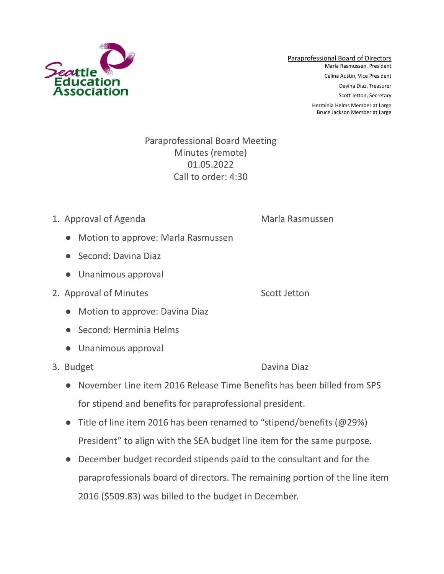

## Paraprofessional Board Meeting Minutes (remote) 01.05.2022 Call to order: 4:30

## 1. Approval of Agenda Marla Rasmussen

- Motion to approve: Marla Rasmussen
- Second: Davina Diaz
- Unanimous approval
- 2. Approval of Minutes Scott Jetton

- Motion to approve: Davina Diaz
- Second: Herminia Helms
- Unanimous approval
- 

3. Budget Davina Diaz

- November Line item 2016 Release Time Benefits has been billed from SPS for stipend and benefits for paraprofessional president.
- Title of line item 2016 has been renamed to "stipend/benefits ( $@29\%$ ) President" to align with the SEA budget line item for the same purpose.
- December budget recorded stipends paid to the consultant and for the paraprofessionals board of directors. The remaining portion of the line item 2016 (\$509.83) was billed to the budget in December.